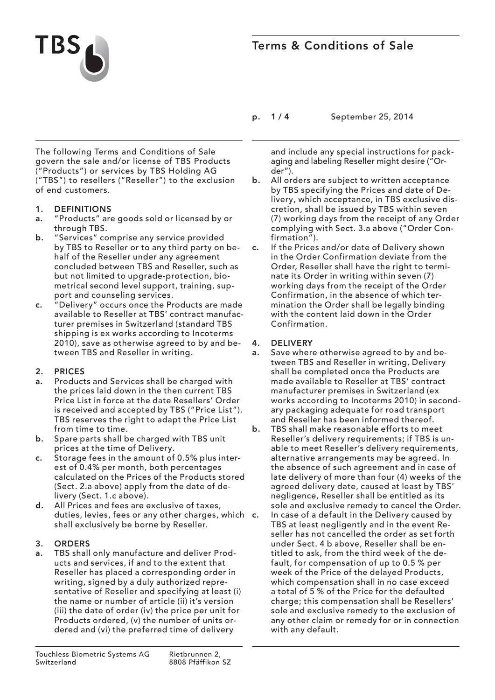

## Terms & Conditions of Sale

p. 1 / 4 September 25, 2014

The following Terms and Conditions of Sale govern the sale and/or license of TBS Products ("Products") or services by TBS Holding AG ("TBS") to resellers ("Reseller") to the exclusion of end customers.

- 1. DEFINITIONS
- a. "Products" are goods sold or licensed by or through TBS.
- b. "Services" comprise any service provided by TBS to Reseller or to any third party on behalf of the Reseller under any agreement concluded between TBS and Reseller, such as but not limited to upgrade-protection, biometrical second level support, training, support and counseling services.
- c. "Delivery" occurs once the Products are made available to Reseller at TBS' contract manufacturer premises in Switzerland (standard TBS shipping is ex works according to Incoterms 2010), save as otherwise agreed to by and between TBS and Reseller in writing.

## 2. PRICES

- a. Products and Services shall be charged with the prices laid down in the then current TBS Price List in force at the date Resellers' Order is received and accepted by TBS ("Price List"). TBS reserves the right to adapt the Price List from time to time.
- b. Spare parts shall be charged with TBS unit prices at the time of Delivery.
- c. Storage fees in the amount of 0.5% plus interest of 0.4% per month, both percentages calculated on the Prices of the Products stored (Sect. 2.a above) apply from the date of delivery (Sect. 1.c above).
- d. All Prices and fees are exclusive of taxes, duties, levies, fees or any other charges, which c. shall exclusively be borne by Reseller.

## 3. ORDERS

a. TBS shall only manufacture and deliver Products and services, if and to the extent that Reseller has placed a corresponding order in writing, signed by a duly authorized representative of Reseller and specifying at least (i) the name or number of article (ii) it's version (iii) the date of order (iv) the price per unit for Products ordered, (v) the number of units ordered and (vi) the preferred time of delivery

- and include any special instructions for packaging and labeling Reseller might desire ("Order").
- b. All orders are subject to written acceptance by TBS specifying the Prices and date of Delivery, which acceptance, in TBS exclusive discretion, shall be issued by TBS within seven (7) working days from the receipt of any Order complying with Sect. 3.a above ("Order Confirmation").
- c. If the Prices and/or date of Delivery shown in the Order Confirmation deviate from the Order, Reseller shall have the right to terminate its Order in writing within seven (7) working days from the receipt of the Order Confirmation, in the absence of which termination the Order shall be legally binding with the content laid down in the Order Confirmation.

## 4. DELIVERY

- a. Save where otherwise agreed to by and between TBS and Reseller in writing, Delivery shall be completed once the Products are made available to Reseller at TBS' contract manufacturer premises in Switzerland (ex works according to Incoterms 2010) in secondary packaging adequate for road transport and Reseller has been informed thereof.
- b. TBS shall make reasonable efforts to meet Reseller's delivery requirements; if TBS is unable to meet Reseller's delivery requirements, alternative arrangements may be agreed. In the absence of such agreement and in case of late delivery of more than four (4) weeks of the agreed delivery date, caused at least by TBS' negligence, Reseller shall be entitled as its sole and exclusive remedy to cancel the Order.
	- In case of a default in the Delivery caused by TBS at least negligently and in the event Reseller has not cancelled the order as set forth under Sect. 4 b above, Reseller shall be entitled to ask, from the third week of the default, for compensation of up to 0.5 % per week of the Price of the delayed Products, which compensation shall in no case exceed a total of 5 % of the Price for the defaulted charge; this compensation shall be Resellers' sole and exclusive remedy to the exclusion of any other claim or remedy for or in connection with any default.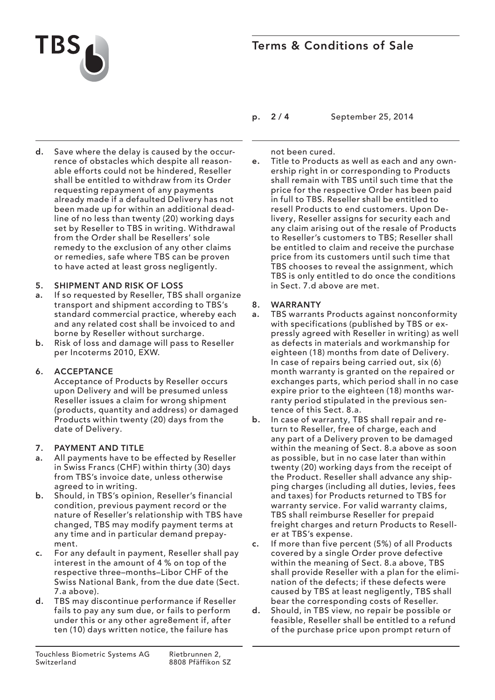

# Terms & Conditions of Sale

- p. 2 / 4 September 25, 2014
- d. Save where the delay is caused by the occurrence of obstacles which despite all reasonable efforts could not be hindered, Reseller shall be entitled to withdraw from its Order requesting repayment of any payments already made if a defaulted Delivery has not been made up for within an additional deadline of no less than twenty (20) working days set by Reseller to TBS in writing. Withdrawal from the Order shall be Resellers' sole remedy to the exclusion of any other claims or remedies, safe where TBS can be proven to have acted at least gross negligently.

#### 5. SHIPMENT AND RISK OF LOSS

- a. If so requested by Reseller, TBS shall organize transport and shipment according to TBS's standard commercial practice, whereby each and any related cost shall be invoiced to and borne by Reseller without surcharge.
- b. Risk of loss and damage will pass to Reseller per Incoterms 2010, EXW.

#### 6. ACCEPTANCE

Acceptance of Products by Reseller occurs upon Delivery and will be presumed unless Reseller issues a claim for wrong shipment (products, quantity and address) or damaged Products within twenty (20) days from the date of Delivery.

#### 7. PAYMENT AND TITLE

- a. All payments have to be effected by Reseller in Swiss Francs (CHF) within thirty (30) days from TBS's invoice date, unless otherwise agreed to in writing.
- b. Should, in TBS's opinion, Reseller's financial condition, previous payment record or the nature of Reseller's relationship with TBS have changed, TBS may modify payment terms at any time and in particular demand prepayment.
- c. For any default in payment, Reseller shall pay interest in the amount of 4 % on top of the respective three–months–Libor CHF of the Swiss National Bank, from the due date (Sect. 7.a above).
- d. TBS may discontinue performance if Reseller fails to pay any sum due, or fails to perform under this or any other agre8ement if, after ten (10) days written notice, the failure has

not been cured.

e. Title to Products as well as each and any ownership right in or corresponding to Products shall remain with TBS until such time that the price for the respective Order has been paid in full to TBS. Reseller shall be entitled to resell Products to end customers. Upon Delivery, Reseller assigns for security each and any claim arising out of the resale of Products to Reseller's customers to TBS; Reseller shall be entitled to claim and receive the purchase price from its customers until such time that TBS chooses to reveal the assignment, which TBS is only entitled to do once the conditions in Sect. 7.d above are met.

#### 8. WARRANTY

- a. TBS warrants Products against nonconformity with specifications (published by TBS or expressly agreed with Reseller in writing) as well as defects in materials and workmanship for eighteen (18) months from date of Delivery. In case of repairs being carried out, six (6) month warranty is granted on the repaired or exchanges parts, which period shall in no case expire prior to the eighteen (18) months warranty period stipulated in the previous sentence of this Sect. 8.a.
- b. In case of warranty, TBS shall repair and return to Reseller, free of charge, each and any part of a Delivery proven to be damaged within the meaning of Sect. 8.a above as soon as possible, but in no case later than within twenty (20) working days from the receipt of the Product. Reseller shall advance any shipping charges (including all duties, levies, fees and taxes) for Products returned to TBS for warranty service. For valid warranty claims, TBS shall reimburse Reseller for prepaid freight charges and return Products to Reseller at TBS's expense.
- c. If more than five percent (5%) of all Products covered by a single Order prove defective within the meaning of Sect. 8.a above, TBS shall provide Reseller with a plan for the elimination of the defects; if these defects were caused by TBS at least negligently, TBS shall bear the corresponding costs of Reseller.
- d. Should, in TBS view, no repair be possible or feasible, Reseller shall be entitled to a refund of the purchase price upon prompt return of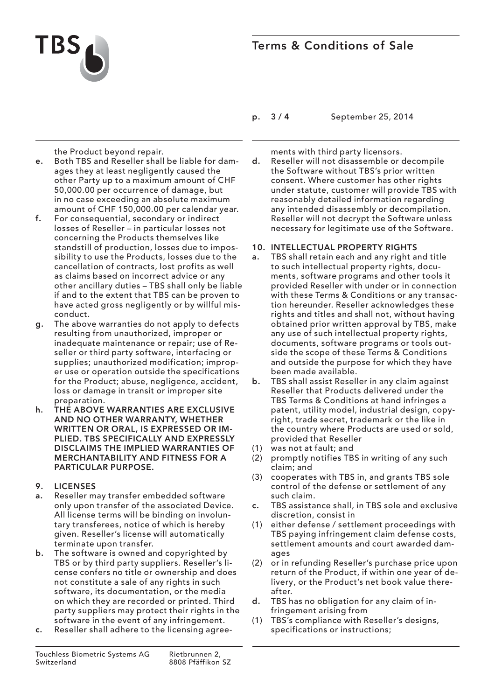



p. 3 / 4 September 25, 2014

the Product beyond repair.

- e. Both TBS and Reseller shall be liable for damages they at least negligently caused the other Party up to a maximum amount of CHF 50,000.00 per occurrence of damage, but in no case exceeding an absolute maximum amount of CHF 150,000.00 per calendar year.
- f. For consequential, secondary or indirect losses of Reseller – in particular losses not concerning the Products themselves like standstill of production, losses due to impossibility to use the Products, losses due to the cancellation of contracts, lost profits as well as claims based on incorrect advice or any other ancillary duties – TBS shall only be liable if and to the extent that TBS can be proven to have acted gross negligently or by willful misconduct.
- g. The above warranties do not apply to defects resulting from unauthorized, improper or inadequate maintenance or repair; use of Reseller or third party software, interfacing or supplies; unauthorized modification; improper use or operation outside the specifications for the Product; abuse, negligence, accident, loss or damage in transit or improper site preparation.
- h. THE ABOVE WARRANTIES ARE EXCLUSIVE AND NO OTHER WARRANTY, WHETHER WRITTEN OR ORAL, IS EXPRESSED OR IM-PLIED. TBS SPECIFICALLY AND EXPRESSLY DISCLAIMS THE IMPLIED WARRANTIES OF MERCHANTABILITY AND FITNESS FOR A PARTICULAR PURPOSE.

#### 9. LICENSES

- a. Reseller may transfer embedded software only upon transfer of the associated Device. All license terms will be binding on involuntary transferees, notice of which is hereby given. Reseller's license will automatically terminate upon transfer.
- b. The software is owned and copyrighted by TBS or by third party suppliers. Reseller's license confers no title or ownership and does not constitute a sale of any rights in such software, its documentation, or the media on which they are recorded or printed. Third party suppliers may protect their rights in the software in the event of any infringement.
- c. Reseller shall adhere to the licensing agree-

ments with third party licensors.

d. Reseller will not disassemble or decompile the Software without TBS's prior written consent. Where customer has other rights under statute, customer will provide TBS with reasonably detailed information regarding any intended disassembly or decompilation. Reseller will not decrypt the Software unless necessary for legitimate use of the Software.

#### 10. INTELLECTUAL PROPERTY RIGHTS

- a. TBS shall retain each and any right and title to such intellectual property rights, documents, software programs and other tools it provided Reseller with under or in connection with these Terms & Conditions or any transaction hereunder. Reseller acknowledges these rights and titles and shall not, without having obtained prior written approval by TBS, make any use of such intellectual property rights, documents, software programs or tools outside the scope of these Terms & Conditions and outside the purpose for which they have been made available.
- b. TBS shall assist Reseller in any claim against Reseller that Products delivered under the TBS Terms & Conditions at hand infringes a patent, utility model, industrial design, copyright, trade secret, trademark or the like in the country where Products are used or sold, provided that Reseller
- (1) was not at fault; and
- (2) promptly notifies TBS in writing of any such claim; and
- (3) cooperates with TBS in, and grants TBS sole control of the defense or settlement of any such claim.
- c. TBS assistance shall, in TBS sole and exclusive discretion, consist in
- (1) either defense / settlement proceedings with TBS paying infringement claim defense costs, settlement amounts and court awarded damages
- (2) or in refunding Reseller's purchase price upon return of the Product, if within one year of delivery, or the Product's net book value thereafter.
- d. TBS has no obligation for any claim of infringement arising from
- (1) TBS's compliance with Reseller's designs, specifications or instructions;